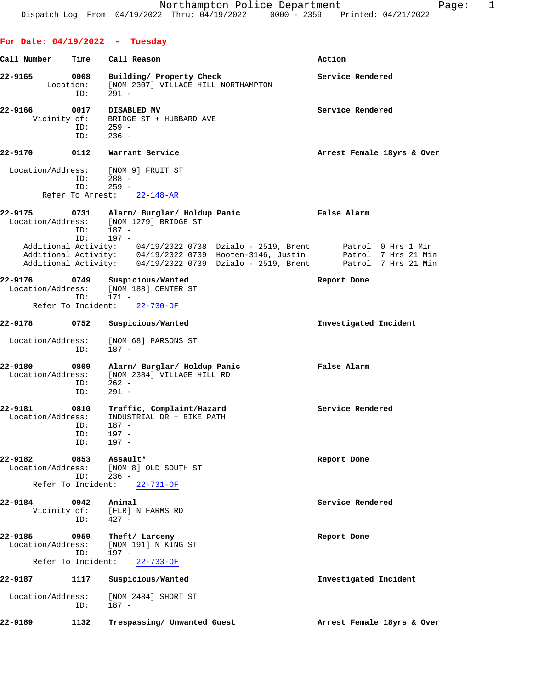| For Date: $04/19/2022 -$ Tuesday    |                    |                                                                                                                                                                                                                                                                                                             |                            |
|-------------------------------------|--------------------|-------------------------------------------------------------------------------------------------------------------------------------------------------------------------------------------------------------------------------------------------------------------------------------------------------------|----------------------------|
| Call Number                         | Time               | Call Reason                                                                                                                                                                                                                                                                                                 | Action                     |
| 22-9165<br>Location:                | 0008<br>ID:        | Building/ Property Check<br>[NOM 2307] VILLAGE HILL NORTHAMPTON<br>$291 -$                                                                                                                                                                                                                                  | Service Rendered           |
| 22-9166<br>Vicinity of:             | 0017<br>ID:<br>ID: | DISABLED MV<br>BRIDGE ST + HUBBARD AVE<br>$259 -$<br>$236 -$                                                                                                                                                                                                                                                | Service Rendered           |
| 22-9170                             | 0112               | Warrant Service                                                                                                                                                                                                                                                                                             | Arrest Female 18yrs & Over |
| Location/Address:                   | ID:<br>ID:         | [NOM 9] FRUIT ST<br>$288 -$<br>$259 -$<br>Refer To Arrest: 22-148-AR                                                                                                                                                                                                                                        |                            |
| 22-9175                             | 0731               | Alarm/ Burglar/ Holdup Panic                                                                                                                                                                                                                                                                                | False Alarm                |
|                                     | ID:<br>ID:         | Location/Address: [NOM 1279] BRIDGE ST<br>$187 -$<br>197 -<br>Additional Activity: 04/19/2022 0738 Dzialo - 2519, Brent Patrol 0 Hrs 1 Min<br>Additional Activity: 04/19/2022 0739 Hooten-3146, Justin Patrol 7 Hrs 21 Min<br>Additional Activity: 04/19/2022 0739 Dzialo - 2519, Brent Patrol 7 Hrs 21 Min |                            |
| 22-9176<br>Location/Address:        | 0749               | Suspicious/Wanted<br>[NOM 188] CENTER ST                                                                                                                                                                                                                                                                    | Report Done                |
| Refer To Incident:                  | ID:                | 171 -<br>$22 - 730 - OF$                                                                                                                                                                                                                                                                                    |                            |
| 22-9178                             | 0752               | Suspicious/Wanted                                                                                                                                                                                                                                                                                           | Investigated Incident      |
| Location/Address:                   | ID:                | [NOM 68] PARSONS ST<br>$187 -$                                                                                                                                                                                                                                                                              |                            |
| 22-9180<br>Location/Address:        | 0809<br>ID:<br>ID: | Alarm/ Burglar/ Holdup Panic<br>[NOM 2384] VILLAGE HILL RD<br>$262 -$<br>$291 -$                                                                                                                                                                                                                            | False Alarm                |
| 22-9181<br>Location/Address:<br>ID: | 0810<br>ID:<br>ID: | Traffic, Complaint/Hazard<br>INDUSTRIAL DR + BIKE PATH<br>187 -<br>197 -<br>$197 -$                                                                                                                                                                                                                         | Service Rendered           |
| 22-9182<br>Location/Address:        | 0853<br>ID:        | Assault*<br>[NOM 8] OLD SOUTH ST<br>$236 -$<br>Refer To Incident: 22-731-OF                                                                                                                                                                                                                                 | Report Done                |
| 22-9184                             | 0942               | Animal                                                                                                                                                                                                                                                                                                      | Service Rendered           |
|                                     | ID:                | Vicinity of: [FLR] N FARMS RD<br>$427 -$                                                                                                                                                                                                                                                                    |                            |
| 22-9185<br>Refer To Incident:       | 0959<br>ID:        | Theft/ Larceny<br>Location/Address: [NOM 191] N KING ST<br>$197 -$<br>$22 - 733 - OF$                                                                                                                                                                                                                       | Report Done                |
| 22-9187                             | 1117               | Suspicious/Wanted                                                                                                                                                                                                                                                                                           | Investigated Incident      |
| Location/Address:                   |                    | [NOM 2484] SHORT ST                                                                                                                                                                                                                                                                                         |                            |
|                                     | ID:                | 187 -                                                                                                                                                                                                                                                                                                       |                            |
| 22-9189                             | 1132               | Trespassing/ Unwanted Guest                                                                                                                                                                                                                                                                                 | Arrest Female 18yrs & Over |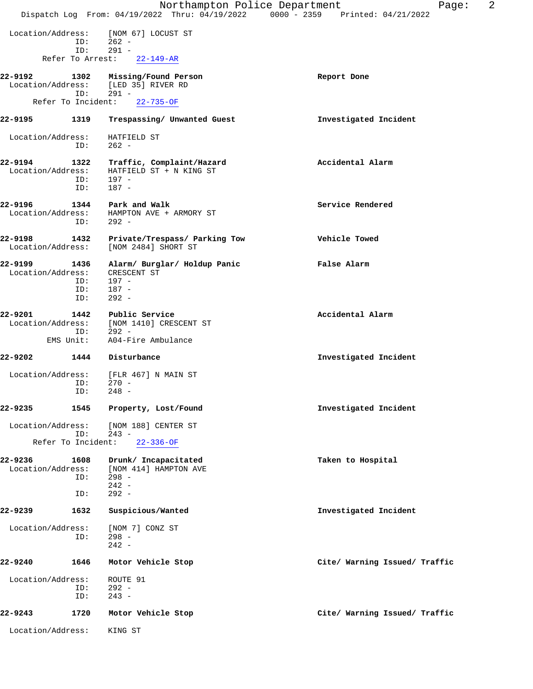|                                  |                    |                                                                                | 2<br>Northampton Police Department<br>Page:<br>Dispatch Log From: 04/19/2022 Thru: 04/19/2022 0000 - 2359 Printed: 04/21/2022 |  |
|----------------------------------|--------------------|--------------------------------------------------------------------------------|-------------------------------------------------------------------------------------------------------------------------------|--|
| Location/Address:                | ID:                | [NOM 67] LOCUST ST<br>$262 -$                                                  |                                                                                                                               |  |
|                                  | ID:                | $291 -$                                                                        |                                                                                                                               |  |
|                                  | Refer To Arrest:   | $22 - 149 - AR$                                                                |                                                                                                                               |  |
| 22-9192                          | 1302               | Missing/Found Person                                                           | Report Done                                                                                                                   |  |
| Location/Address:                | ID:                | [LED 35] RIVER RD<br>$291 -$                                                   |                                                                                                                               |  |
|                                  | Refer To Incident: | $22 - 735 - OF$                                                                |                                                                                                                               |  |
| 22-9195                          | 1319               | Trespassing/ Unwanted Guest                                                    | Investigated Incident                                                                                                         |  |
| Location/Address:                | ID:                | HATFIELD ST<br>$262 -$                                                         |                                                                                                                               |  |
| 22-9194<br>Location/Address:     | 1322<br>ID:<br>ID: | Traffic, Complaint/Hazard<br>HATFIELD ST + N KING ST<br>197 -<br>$187 -$       | Accidental Alarm                                                                                                              |  |
| 22-9196<br>Location/Address:     | 1344<br>ID:        | Park and Walk<br>HAMPTON AVE + ARMORY ST<br>$292 -$                            | Service Rendered                                                                                                              |  |
| 22-9198<br>Location/Address:     | 1432               | Private/Trespass/ Parking Tow<br>[NOM 2484] SHORT ST                           | Vehicle Towed                                                                                                                 |  |
| 22-9199<br>Location/Address:     | 1436<br>ID:        | Alarm/ Burglar/ Holdup Panic<br>CRESCENT ST<br>$197 -$                         | False Alarm                                                                                                                   |  |
|                                  | ID:<br>ID:         | $187 -$<br>$292 -$                                                             |                                                                                                                               |  |
| 22-9201<br>Location/Address:     | 1442<br>ID:        | Public Service<br>[NOM 1410] CRESCENT ST<br>$292 -$                            | Accidental Alarm                                                                                                              |  |
|                                  | EMS Unit:          | A04-Fire Ambulance                                                             |                                                                                                                               |  |
| 22-9202                          | 1444               | Disturbance                                                                    | Investigated Incident                                                                                                         |  |
| Location/Address:                | ID:<br>ID:         | [FLR 467] N MAIN ST<br>$270 -$<br>$248 -$                                      |                                                                                                                               |  |
| 22-9235                          | 1545               | Property, Lost/Found                                                           | Investigated Incident                                                                                                         |  |
| Location/Address:                | ID:                | [NOM 188] CENTER ST<br>$243 -$                                                 |                                                                                                                               |  |
|                                  | Refer To Incident: | $22 - 336 - OF$                                                                |                                                                                                                               |  |
| $22 - 9236$<br>Location/Address: | 1608<br>ID:<br>ID: | Drunk/ Incapacitated<br>[NOM 414] HAMPTON AVE<br>$298 -$<br>$242 -$<br>$292 -$ | Taken to Hospital                                                                                                             |  |
| 22-9239                          | 1632               | Suspicious/Wanted                                                              | Investigated Incident                                                                                                         |  |
| Location/Address:                | ID:                | [NOM 7] CONZ ST<br>$298 -$<br>$242 -$                                          |                                                                                                                               |  |
| 22-9240                          | 1646               | Motor Vehicle Stop                                                             | Cite/ Warning Issued/ Traffic                                                                                                 |  |
| Location/Address:                | ID:<br>ID:         | ROUTE 91<br>$292 -$<br>$243 -$                                                 |                                                                                                                               |  |
| 22-9243                          | 1720               | Motor Vehicle Stop                                                             | Cite/ Warning Issued/ Traffic                                                                                                 |  |
| Location/Address:                |                    | KING ST                                                                        |                                                                                                                               |  |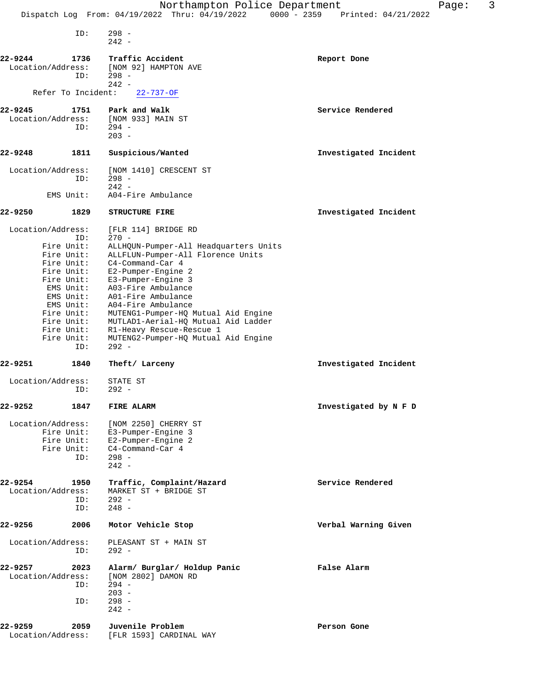|         |                          | Northampton Police Department<br>Dispatch Log From: 04/19/2022 Thru: 04/19/2022 0000 - 2359 | Printed: 04/21/2022   | Page: | 3 |
|---------|--------------------------|---------------------------------------------------------------------------------------------|-----------------------|-------|---|
|         |                          |                                                                                             |                       |       |   |
|         | ID:                      | $298 -$                                                                                     |                       |       |   |
|         |                          | $242 -$                                                                                     |                       |       |   |
| 22-9244 | 1736                     | Traffic Accident                                                                            | Report Done           |       |   |
|         | Location/Address:        | [NOM 92] HAMPTON AVE                                                                        |                       |       |   |
|         | ID:                      | $298 -$                                                                                     |                       |       |   |
|         |                          | $242 -$                                                                                     |                       |       |   |
|         | Refer To Incident:       | $22 - 737 - OF$                                                                             |                       |       |   |
| 22-9245 | 1751                     | Park and Walk                                                                               | Service Rendered      |       |   |
|         | Location/Address:        | [NOM 933] MAIN ST                                                                           |                       |       |   |
|         | ID:                      | $294 -$                                                                                     |                       |       |   |
|         |                          | $203 -$                                                                                     |                       |       |   |
| 22-9248 | 1811                     | Suspicious/Wanted                                                                           | Investigated Incident |       |   |
|         |                          |                                                                                             |                       |       |   |
|         | Location/Address:        | [NOM 1410] CRESCENT ST                                                                      |                       |       |   |
|         | ID:                      | $298 -$<br>$242 -$                                                                          |                       |       |   |
|         | EMS Unit:                | A04-Fire Ambulance                                                                          |                       |       |   |
|         |                          |                                                                                             |                       |       |   |
| 22-9250 | 1829                     | <b>STRUCTURE FIRE</b>                                                                       | Investigated Incident |       |   |
|         | Location/Address:        | [FLR 114] BRIDGE RD                                                                         |                       |       |   |
|         | ID:                      | $270 -$                                                                                     |                       |       |   |
|         | Fire Unit:               | ALLHQUN-Pumper-All Headquarters Units                                                       |                       |       |   |
|         | Fire Unit:               | ALLFLUN-Pumper-All Florence Units                                                           |                       |       |   |
|         | Fire Unit:               | C4-Command-Car 4                                                                            |                       |       |   |
|         | Fire Unit:               | E2-Pumper-Engine 2                                                                          |                       |       |   |
|         | Fire Unit:<br>EMS Unit:  | E3-Pumper-Engine 3<br>A03-Fire Ambulance                                                    |                       |       |   |
|         | EMS Unit:                | A01-Fire Ambulance                                                                          |                       |       |   |
|         | EMS Unit:                | A04-Fire Ambulance                                                                          |                       |       |   |
|         | Fire Unit:               | MUTENG1-Pumper-HQ Mutual Aid Engine                                                         |                       |       |   |
|         | Fire Unit:               | MUTLAD1-Aerial-HQ Mutual Aid Ladder                                                         |                       |       |   |
|         | Fire Unit:<br>Fire Unit: | R1-Heavy Rescue-Rescue 1<br>MUTENG2-Pumper-HQ Mutual Aid Engine                             |                       |       |   |
|         | ID:                      | $292 -$                                                                                     |                       |       |   |
| 22-9251 | 1840                     | Theft/ Larceny                                                                              | Investigated Incident |       |   |
|         |                          | STATE ST                                                                                    |                       |       |   |
|         | Location/Address:<br>ID: | $292 -$                                                                                     |                       |       |   |
|         |                          |                                                                                             |                       |       |   |
| 22-9252 | 1847                     | <b>FIRE ALARM</b>                                                                           | Investigated by N F D |       |   |
|         | Location/Address:        | [NOM 2250] CHERRY ST                                                                        |                       |       |   |
|         | Fire Unit:               | E3-Pumper-Engine 3                                                                          |                       |       |   |
|         | Fire Unit:               | E2-Pumper-Engine 2                                                                          |                       |       |   |
|         | Fire Unit:               | C4-Command-Car 4                                                                            |                       |       |   |
|         | ID:                      | $298 -$<br>$242 -$                                                                          |                       |       |   |
|         |                          |                                                                                             |                       |       |   |
| 22-9254 | 1950                     | Traffic, Complaint/Hazard                                                                   | Service Rendered      |       |   |
|         | Location/Address:        | MARKET ST + BRIDGE ST                                                                       |                       |       |   |
|         | ID:                      | $292 -$                                                                                     |                       |       |   |
|         | ID:                      | $248 -$                                                                                     |                       |       |   |
| 22-9256 | 2006                     | Motor Vehicle Stop                                                                          | Verbal Warning Given  |       |   |
|         | Location/Address:        | PLEASANT ST + MAIN ST                                                                       |                       |       |   |
|         | ID:                      | $292 -$                                                                                     |                       |       |   |
| 22-9257 | 2023                     | Alarm/ Burglar/ Holdup Panic                                                                | False Alarm           |       |   |
|         | Location/Address:        | [NOM 2802] DAMON RD                                                                         |                       |       |   |
|         | ID:                      | $294 -$                                                                                     |                       |       |   |
|         |                          | $203 -$                                                                                     |                       |       |   |
|         | ID:                      | $298 -$                                                                                     |                       |       |   |
|         |                          | $242 -$                                                                                     |                       |       |   |
| 22-9259 | 2059                     | Juvenile Problem                                                                            | Person Gone           |       |   |
|         | Location/Address:        | [FLR 1593] CARDINAL WAY                                                                     |                       |       |   |